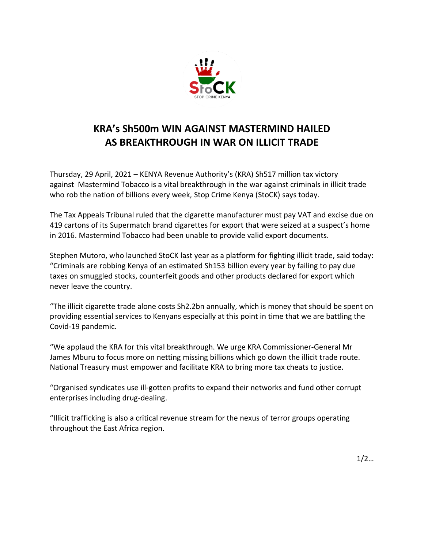

## **KRA's Sh500m WIN AGAINST MASTERMIND HAILED AS BREAKTHROUGH IN WAR ON ILLICIT TRADE**

Thursday, 29 April, 2021 – KENYA Revenue Authority's (KRA) Sh517 million tax victory against Mastermind Tobacco is a vital breakthrough in the war against criminals in illicit trade who rob the nation of billions every week, Stop Crime Kenya (StoCK) says today.

The Tax Appeals Tribunal ruled that the cigarette manufacturer must pay VAT and excise due on 419 cartons of its Supermatch brand cigarettes for export that were seized at a suspect's home in 2016. Mastermind Tobacco had been unable to provide valid export documents.

Stephen Mutoro, who launched StoCK last year as a platform for fighting illicit trade, said today: "Criminals are robbing Kenya of an estimated Sh153 billion every year by failing to pay due taxes on smuggled stocks, counterfeit goods and other products declared for export which never leave the country.

"The illicit cigarette trade alone costs Sh2.2bn annually, which is money that should be spent on providing essential services to Kenyans especially at this point in time that we are battling the Covid-19 pandemic.

"We applaud the KRA for this vital breakthrough. We urge KRA Commissioner-General Mr James Mburu to focus more on netting missing billions which go down the illicit trade route. National Treasury must empower and facilitate KRA to bring more tax cheats to justice.

"Organised syndicates use ill-gotten profits to expand their networks and fund other corrupt enterprises including drug-dealing.

"Illicit trafficking is also a critical revenue stream for the nexus of terror groups operating throughout the East Africa region.